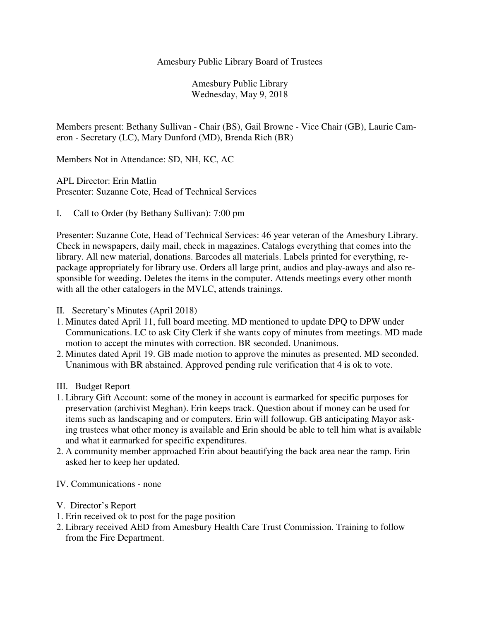### Amesbury Public Library Board of Trustees

Amesbury Public Library Wednesday, May 9, 2018

Members present: Bethany Sullivan - Chair (BS), Gail Browne - Vice Chair (GB), Laurie Cameron - Secretary (LC), Mary Dunford (MD), Brenda Rich (BR)

Members Not in Attendance: SD, NH, KC, AC

APL Director: Erin Matlin Presenter: Suzanne Cote, Head of Technical Services

I. Call to Order (by Bethany Sullivan): 7:00 pm

Presenter: Suzanne Cote, Head of Technical Services: 46 year veteran of the Amesbury Library. Check in newspapers, daily mail, check in magazines. Catalogs everything that comes into the library. All new material, donations. Barcodes all materials. Labels printed for everything, repackage appropriately for library use. Orders all large print, audios and play-aways and also responsible for weeding. Deletes the items in the computer. Attends meetings every other month with all the other catalogers in the MVLC, attends trainings.

- II. Secretary's Minutes (April 2018)
- 1. Minutes dated April 11, full board meeting. MD mentioned to update DPQ to DPW under Communications. LC to ask City Clerk if she wants copy of minutes from meetings. MD made motion to accept the minutes with correction. BR seconded. Unanimous.
- 2. Minutes dated April 19. GB made motion to approve the minutes as presented. MD seconded. Unanimous with BR abstained. Approved pending rule verification that 4 is ok to vote.
- III. Budget Report
- 1. Library Gift Account: some of the money in account is earmarked for specific purposes for preservation (archivist Meghan). Erin keeps track. Question about if money can be used for items such as landscaping and or computers. Erin will followup. GB anticipating Mayor asking trustees what other money is available and Erin should be able to tell him what is available and what it earmarked for specific expenditures.
- 2. A community member approached Erin about beautifying the back area near the ramp. Erin asked her to keep her updated.
- IV. Communications none
- V. Director's Report
- 1. Erin received ok to post for the page position
- 2. Library received AED from Amesbury Health Care Trust Commission. Training to follow from the Fire Department.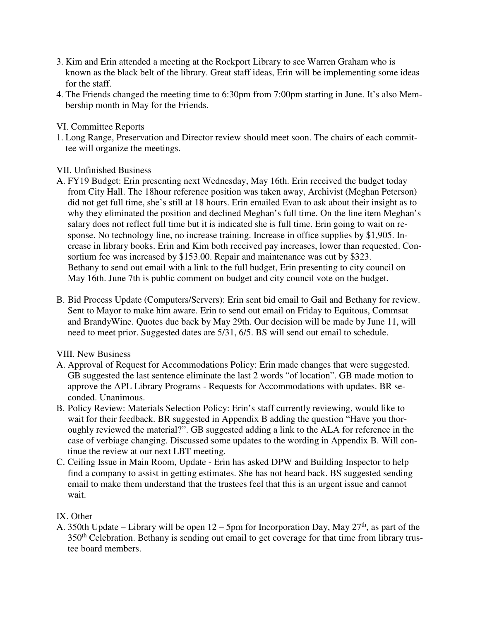- 3. Kim and Erin attended a meeting at the Rockport Library to see Warren Graham who is known as the black belt of the library. Great staff ideas, Erin will be implementing some ideas for the staff.
- 4. The Friends changed the meeting time to 6:30pm from 7:00pm starting in June. It's also Membership month in May for the Friends.

## VI. Committee Reports

1. Long Range, Preservation and Director review should meet soon. The chairs of each committee will organize the meetings.

## VII. Unfinished Business

- A. FY19 Budget: Erin presenting next Wednesday, May 16th. Erin received the budget today from City Hall. The 18hour reference position was taken away, Archivist (Meghan Peterson) did not get full time, she's still at 18 hours. Erin emailed Evan to ask about their insight as to why they eliminated the position and declined Meghan's full time. On the line item Meghan's salary does not reflect full time but it is indicated she is full time. Erin going to wait on response. No technology line, no increase training. Increase in office supplies by \$1,905. Increase in library books. Erin and Kim both received pay increases, lower than requested. Consortium fee was increased by \$153.00. Repair and maintenance was cut by \$323. Bethany to send out email with a link to the full budget, Erin presenting to city council on May 16th. June 7th is public comment on budget and city council vote on the budget.
- B. Bid Process Update (Computers/Servers): Erin sent bid email to Gail and Bethany for review. Sent to Mayor to make him aware. Erin to send out email on Friday to Equitous, Commsat and BrandyWine. Quotes due back by May 29th. Our decision will be made by June 11, will need to meet prior. Suggested dates are 5/31, 6/5. BS will send out email to schedule.

# VIII. New Business

- A. Approval of Request for Accommodations Policy: Erin made changes that were suggested. GB suggested the last sentence eliminate the last 2 words "of location". GB made motion to approve the APL Library Programs - Requests for Accommodations with updates. BR seconded. Unanimous.
- B. Policy Review: Materials Selection Policy: Erin's staff currently reviewing, would like to wait for their feedback. BR suggested in Appendix B adding the question "Have you thoroughly reviewed the material?". GB suggested adding a link to the ALA for reference in the case of verbiage changing. Discussed some updates to the wording in Appendix B. Will continue the review at our next LBT meeting.
- C. Ceiling Issue in Main Room, Update Erin has asked DPW and Building Inspector to help find a company to assist in getting estimates. She has not heard back. BS suggested sending email to make them understand that the trustees feel that this is an urgent issue and cannot wait.

# IX. Other

A. 350th Update – Library will be open  $12 - 5$ pm for Incorporation Day, May  $27<sup>th</sup>$ , as part of the 350<sup>th</sup> Celebration. Bethany is sending out email to get coverage for that time from library trustee board members.